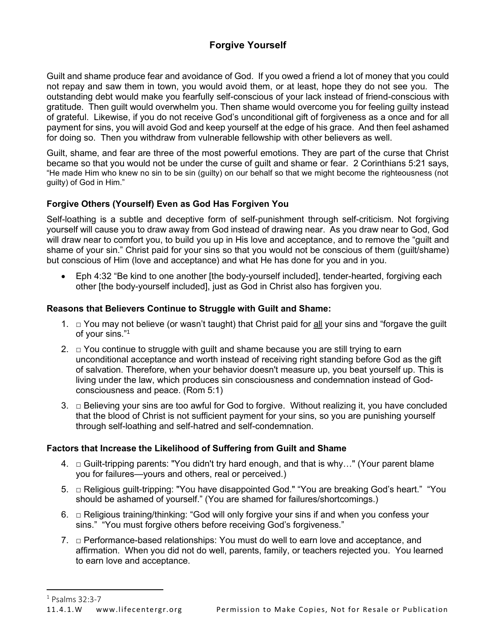# **Forgive Yourself**

Guilt and shame produce fear and avoidance of God. If you owed a friend a lot of money that you could not repay and saw them in town, you would avoid them, or at least, hope they do not see you. The outstanding debt would make you fearfully self-conscious of your lack instead of friend-conscious with gratitude. Then guilt would overwhelm you. Then shame would overcome you for feeling guilty instead of grateful. Likewise, if you do not receive God's unconditional gift of forgiveness as a once and for all payment for sins, you will avoid God and keep yourself at the edge of his grace. And then feel ashamed for doing so. Then you withdraw from vulnerable fellowship with other believers as well.

Guilt, shame, and fear are three of the most powerful emotions. They are part of the curse that Christ became so that you would not be under the curse of guilt and shame or fear. 2 Corinthians 5:21 says, "He made Him who knew no sin to be sin (guilty) on our behalf so that we might become the righteousness (not guilty) of God in Him."

### **Forgive Others (Yourself) Even as God Has Forgiven You**

Self-loathing is a subtle and deceptive form of self-punishment through self-criticism. Not forgiving yourself will cause you to draw away from God instead of drawing near. As you draw near to God, God will draw near to comfort you, to build you up in His love and acceptance, and to remove the "guilt and shame of your sin." Christ paid for your sins so that you would not be conscious of them (guilt/shame) but conscious of Him (love and acceptance) and what He has done for you and in you.

• Eph 4:32 "Be kind to one another [the body-yourself included], tender-hearted, forgiving each other [the body-yourself included], just as God in Christ also has forgiven you.

#### **Reasons that Believers Continue to Struggle with Guilt and Shame:**

- 1.  $\Box$  You may not believe (or wasn't taught) that Christ paid for all your sins and "forgave the guilt of your sins."<sup>1</sup>
- 2.  $\square$  You continue to struggle with guilt and shame because you are still trying to earn unconditional acceptance and worth instead of receiving right standing before God as the gift of salvation. Therefore, when your behavior doesn't measure up, you beat yourself up. This is living under the law, which produces sin consciousness and condemnation instead of Godconsciousness and peace. (Rom 5:1)
- 3. □ Believing your sins are too awful for God to forgive. Without realizing it, you have concluded that the blood of Christ is not sufficient payment for your sins, so you are punishing yourself through self-loathing and self-hatred and self-condemnation.

#### **Factors that Increase the Likelihood of Suffering from Guilt and Shame**

- 4.  $\Box$  Guilt-tripping parents: "You didn't try hard enough, and that is why..." (Your parent blame you for failures—yours and others, real or perceived.)
- 5. □ Religious guilt-tripping: "You have disappointed God." "You are breaking God's heart." "You should be ashamed of yourself." (You are shamed for failures/shortcomings.)
- 6.  $\Box$  Religious training/thinking: "God will only forgive your sins if and when you confess your sins." "You must forgive others before receiving God's forgiveness."
- 7.  $\Box$  Performance-based relationships: You must do well to earn love and acceptance, and affirmation. When you did not do well, parents, family, or teachers rejected you. You learned to earn love and acceptance.

<sup>1</sup> Psalms 32:3-7